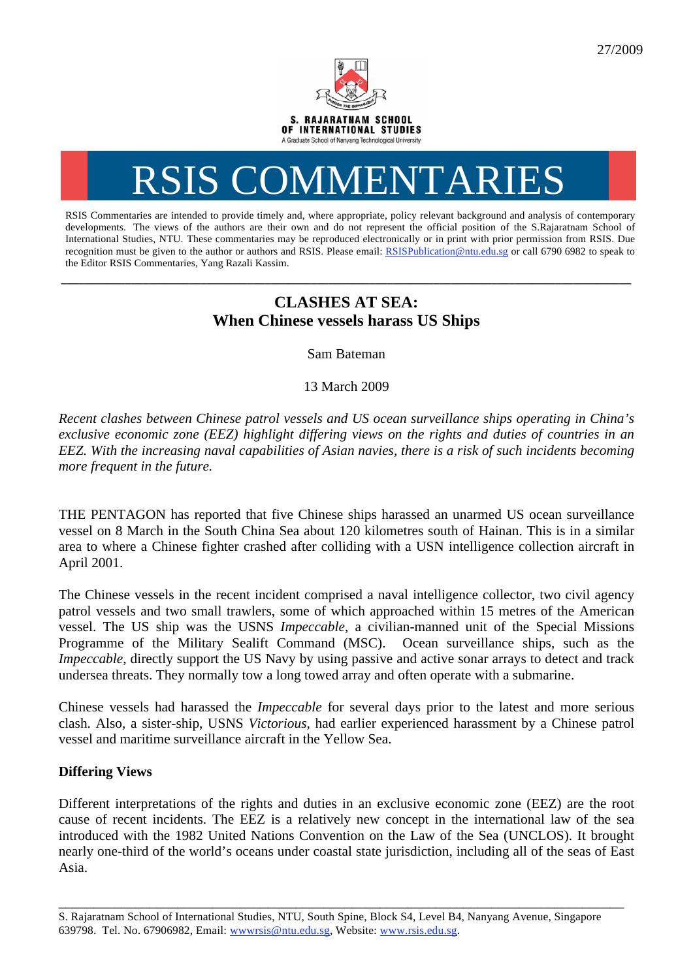

# RSIS COMMENTARIES

RSIS Commentaries are intended to provide timely and, where appropriate, policy relevant background and analysis of contemporary developments. The views of the authors are their own and do not represent the official position of the S.Rajaratnam School of International Studies, NTU. These commentaries may be reproduced electronically or in print with prior permission from RSIS. Due recognition must be given to the author or authors and RSIS. Please email: RSISPublication@ntu.edu.sg or call 6790 6982 to speak to the Editor RSIS Commentaries, Yang Razali Kassim.

## **CLASHES AT SEA: When Chinese vessels harass US Ships**

**\_\_\_\_\_\_\_\_\_\_\_\_\_\_\_\_\_\_\_\_\_\_\_\_\_\_\_\_\_\_\_\_\_\_\_\_\_\_\_\_\_\_\_\_\_\_\_\_\_\_\_\_\_\_\_\_\_\_\_\_\_\_\_\_\_\_\_\_\_\_\_\_\_\_\_\_\_\_\_\_\_\_\_\_\_\_\_\_\_\_\_\_\_\_\_\_\_\_** 

Sam Bateman

13 March 2009

*Recent clashes between Chinese patrol vessels and US ocean surveillance ships operating in China's exclusive economic zone (EEZ) highlight differing views on the rights and duties of countries in an EEZ. With the increasing naval capabilities of Asian navies, there is a risk of such incidents becoming more frequent in the future.* 

THE PENTAGON has reported that five Chinese ships harassed an unarmed US ocean surveillance vessel on 8 March in the South China Sea about 120 kilometres south of Hainan. This is in a similar area to where a Chinese fighter crashed after colliding with a USN intelligence collection aircraft in April 2001.

The Chinese vessels in the recent incident comprised a naval intelligence collector, two civil agency patrol vessels and two small trawlers, some of which approached within 15 metres of the American vessel. The US ship was the USNS *Impeccable*, a civilian-manned unit of the Special Missions Programme of the Military Sealift Command (MSC). Ocean surveillance ships, such as the *Impeccable*, directly support the US Navy by using passive and active sonar arrays to detect and track undersea threats. They normally tow a long towed array and often operate with a submarine.

Chinese vessels had harassed the *Impeccable* for several days prior to the latest and more serious clash. Also, a sister-ship, USNS *Victorious*, had earlier experienced harassment by a Chinese patrol vessel and maritime surveillance aircraft in the Yellow Sea.

### **Differing Views**

Different interpretations of the rights and duties in an exclusive economic zone (EEZ) are the root cause of recent incidents. The EEZ is a relatively new concept in the international law of the sea introduced with the 1982 United Nations Convention on the Law of the Sea (UNCLOS). It brought nearly one-third of the world's oceans under coastal state jurisdiction, including all of the seas of East Asia.

\_\_\_\_\_\_\_\_\_\_\_\_\_\_\_\_\_\_\_\_\_\_\_\_\_\_\_\_\_\_\_\_\_\_\_\_\_\_\_\_\_\_\_\_\_\_\_\_\_\_\_\_\_\_\_\_\_\_\_\_\_\_\_\_\_\_\_\_\_\_\_\_\_\_\_\_\_\_\_\_\_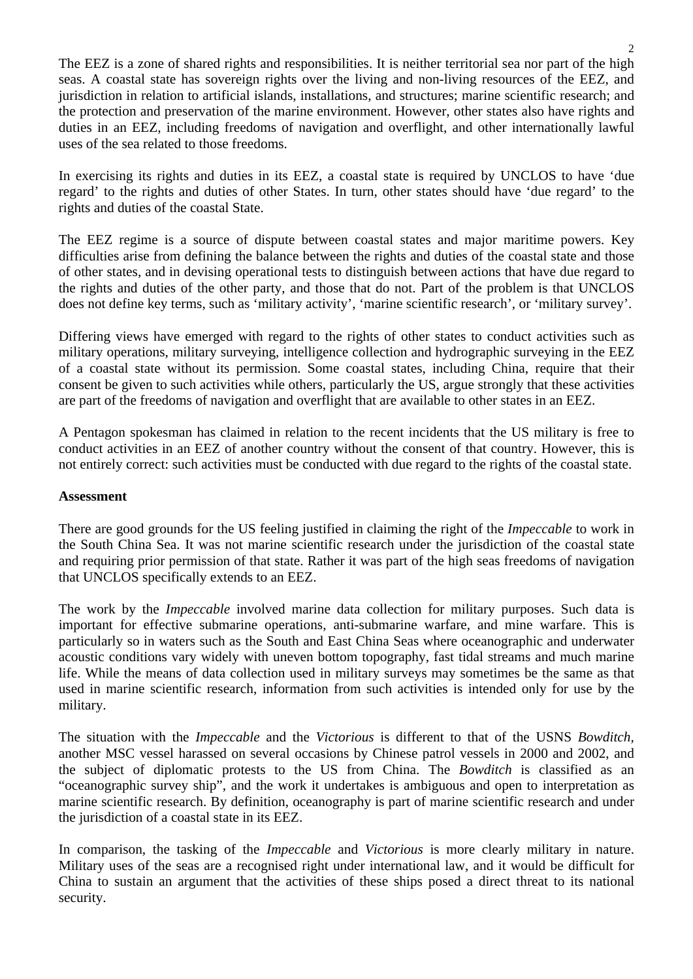The EEZ is a zone of shared rights and responsibilities. It is neither territorial sea nor part of the high seas. A coastal state has sovereign rights over the living and non-living resources of the EEZ, and jurisdiction in relation to artificial islands, installations, and structures; marine scientific research; and the protection and preservation of the marine environment. However, other states also have rights and duties in an EEZ, including freedoms of navigation and overflight, and other internationally lawful uses of the sea related to those freedoms.

In exercising its rights and duties in its EEZ, a coastal state is required by UNCLOS to have 'due regard' to the rights and duties of other States. In turn, other states should have 'due regard' to the rights and duties of the coastal State.

The EEZ regime is a source of dispute between coastal states and major maritime powers. Key difficulties arise from defining the balance between the rights and duties of the coastal state and those of other states, and in devising operational tests to distinguish between actions that have due regard to the rights and duties of the other party, and those that do not. Part of the problem is that UNCLOS does not define key terms, such as 'military activity', 'marine scientific research', or 'military survey'.

Differing views have emerged with regard to the rights of other states to conduct activities such as military operations, military surveying, intelligence collection and hydrographic surveying in the EEZ of a coastal state without its permission. Some coastal states, including China, require that their consent be given to such activities while others, particularly the US, argue strongly that these activities are part of the freedoms of navigation and overflight that are available to other states in an EEZ.

A Pentagon spokesman has claimed in relation to the recent incidents that the US military is free to conduct activities in an EEZ of another country without the consent of that country. However, this is not entirely correct: such activities must be conducted with due regard to the rights of the coastal state.

#### **Assessment**

There are good grounds for the US feeling justified in claiming the right of the *Impeccable* to work in the South China Sea. It was not marine scientific research under the jurisdiction of the coastal state and requiring prior permission of that state. Rather it was part of the high seas freedoms of navigation that UNCLOS specifically extends to an EEZ.

The work by the *Impeccable* involved marine data collection for military purposes. Such data is important for effective submarine operations, anti-submarine warfare, and mine warfare. This is particularly so in waters such as the South and East China Seas where oceanographic and underwater acoustic conditions vary widely with uneven bottom topography, fast tidal streams and much marine life. While the means of data collection used in military surveys may sometimes be the same as that used in marine scientific research, information from such activities is intended only for use by the military.

The situation with the *Impeccable* and the *Victorious* is different to that of the USNS *Bowditch,* another MSC vessel harassed on several occasions by Chinese patrol vessels in 2000 and 2002, and the subject of diplomatic protests to the US from China. The *Bowditch* is classified as an "oceanographic survey ship", and the work it undertakes is ambiguous and open to interpretation as marine scientific research. By definition, oceanography is part of marine scientific research and under the jurisdiction of a coastal state in its EEZ.

In comparison, the tasking of the *Impeccable* and *Victorious* is more clearly military in nature. Military uses of the seas are a recognised right under international law, and it would be difficult for China to sustain an argument that the activities of these ships posed a direct threat to its national security.